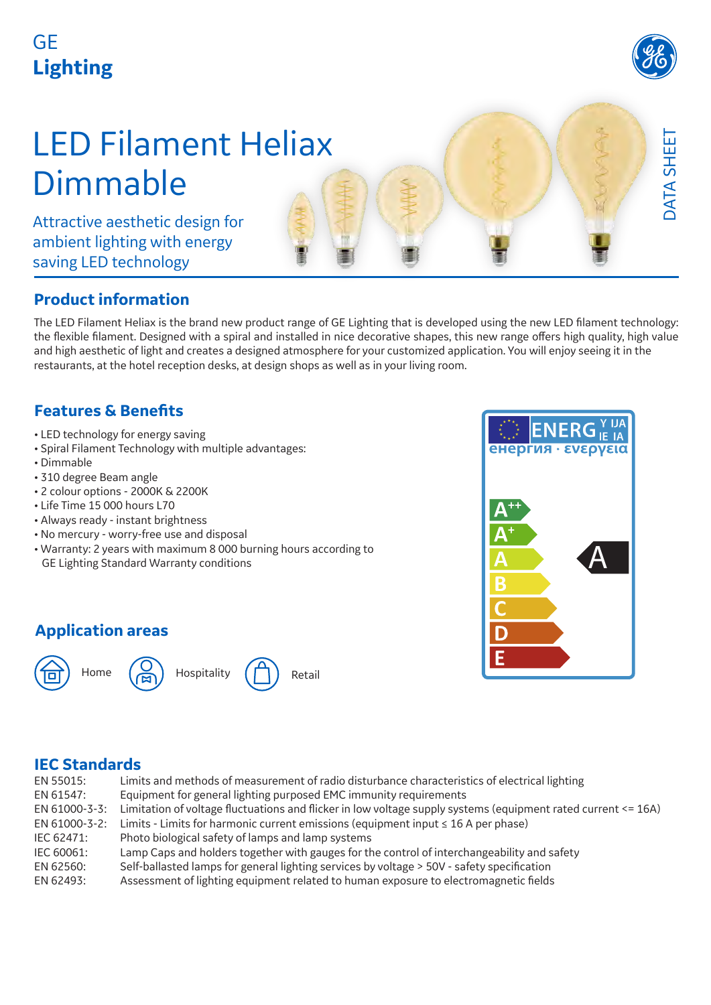### GE **Lighting**



DATA SHEET

DATA SHEET

## LED Filament Heliax Dimmable

Attractive aesthetic design for ambient lighting with energy saving LED technology

#### **Product information**

The LED Filament Heliax is the brand new product range of GE Lighting that is developed using the new LED filament technology: the flexible filament. Designed with a spiral and installed in nice decorative shapes, this new range offers high quality, high value and high aesthetic of light and creates a designed atmosphere for your customized application. You will enjoy seeing it in the restaurants, at the hotel reception desks, at design shops as well as in your living room.

#### **Features & Benefits**

- LED technology for energy saving
- Spiral Filament Technology with multiple advantages:
- Dimmable
- 310 degree Beam angle
- 2 colour options 2000K & 2200K
- Life Time 15 000 hours L70
- Always ready instant brightness
- No mercury worry-free use and disposal
- Warranty: 2 years with maximum 8 000 burning hours according to GE Lighting Standard Warranty conditions

#### **Application areas**



# енергия **ενερνεια A**

#### **IEC Standards**

| EN 55015:     | Limits and methods of measurement of radio disturbance characteristics of electrical lighting                 |
|---------------|---------------------------------------------------------------------------------------------------------------|
| EN 61547:     | Equipment for general lighting purposed EMC immunity requirements                                             |
| EN 61000-3-3: | Limitation of voltage fluctuations and flicker in low voltage supply systems (equipment rated current <= 16A) |
| EN 61000-3-2: | Limits - Limits for harmonic current emissions (equipment input $\leq 16$ A per phase)                        |
| IEC 62471:    | Photo biological safety of lamps and lamp systems                                                             |
| IEC 60061:    | Lamp Caps and holders together with gauges for the control of interchangeability and safety                   |
| EN 62560:     | Self-ballasted lamps for general lighting services by voltage > 50V - safety specification                    |
| EN 62493:     | Assessment of lighting equipment related to human exposure to electromagnetic fields                          |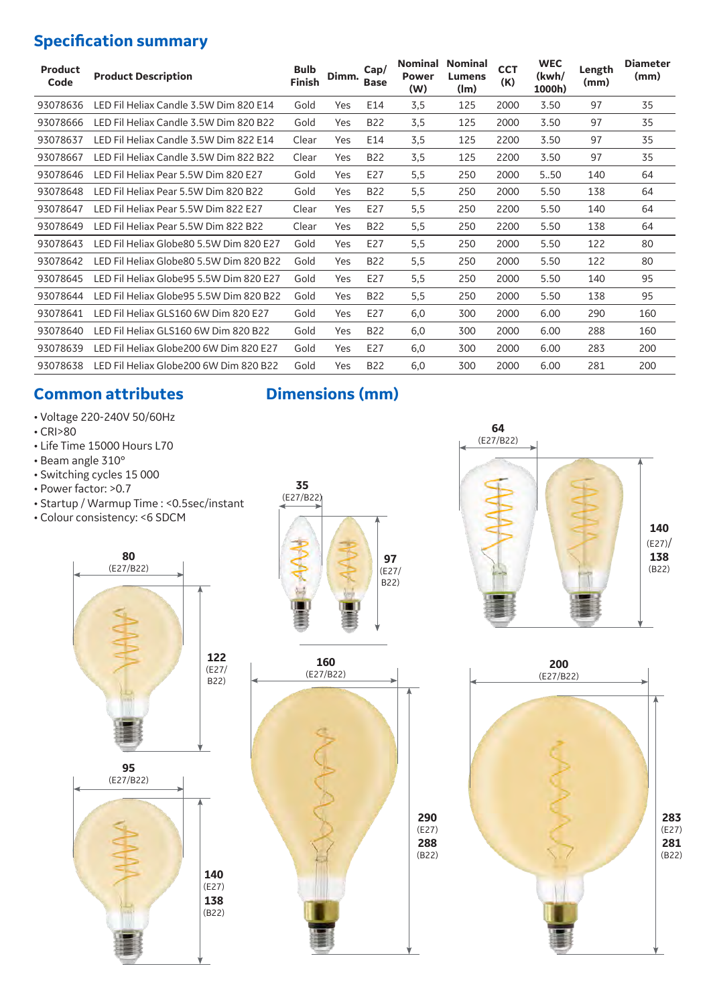#### **Specification summary**

| <b>Product</b><br>Code | <b>Product Description</b>               | <b>Bulb</b><br><b>Finish</b> | Dimm. | Cap/<br><b>Base</b> | <b>Nominal</b><br><b>Power</b><br>(W) | <b>Nominal</b><br>Lumens<br>(lm) | <b>CCT</b><br>(K) | <b>WEC</b><br>(kwh/<br>1000h) | Length<br>(mm) | <b>Diameter</b><br>(mm) |
|------------------------|------------------------------------------|------------------------------|-------|---------------------|---------------------------------------|----------------------------------|-------------------|-------------------------------|----------------|-------------------------|
| 93078636               | LED Fil Heliax Candle 3.5W Dim 820 E14   | Gold                         | Yes   | E14                 | 3,5                                   | 125                              | 2000              | 3.50                          | 97             | 35                      |
| 93078666               | LED Fil Heliax Candle 3.5W Dim 820 B22   | Gold                         | Yes   | <b>B22</b>          | 3,5                                   | 125                              | 2000              | 3.50                          | 97             | 35                      |
| 93078637               | LED Fil Heliax Candle 3.5W Dim 822 E14   | Clear                        | Yes   | E14                 | 3,5                                   | 125                              | 2200              | 3.50                          | 97             | 35                      |
| 93078667               | LED Fil Heliax Candle 3.5W Dim 822 B22   | Clear                        | Yes   | <b>B22</b>          | 3,5                                   | 125                              | 2200              | 3.50                          | 97             | 35                      |
| 93078646               | LED Fil Heliax Pear 5.5W Dim 820 E27     | Gold                         | Yes   | E27                 | 5,5                                   | 250                              | 2000              | 5.50                          | 140            | 64                      |
| 93078648               | LED Fil Heliax Pear 5.5W Dim 820 B22     | Gold                         | Yes   | <b>B22</b>          | 5,5                                   | 250                              | 2000              | 5.50                          | 138            | 64                      |
| 93078647               | LED Fil Heliax Pear 5.5W Dim 822 E27     | Clear                        | Yes   | E27                 | 5,5                                   | 250                              | 2200              | 5.50                          | 140            | 64                      |
| 93078649               | LED Fil Heliax Pear 5.5W Dim 822 B22     | Clear                        | Yes   | <b>B22</b>          | 5,5                                   | 250                              | 2200              | 5.50                          | 138            | 64                      |
| 93078643               | LED Fil Heliax Globe80 5.5W Dim 820 F27  | Gold                         | Yes   | E27                 | 5,5                                   | 250                              | 2000              | 5.50                          | 122            | 80                      |
| 93078642               | LED Fil Heliax Globe80 5.5W Dim 820 B22  | Gold                         | Yes   | <b>B22</b>          | 5,5                                   | 250                              | 2000              | 5.50                          | 122            | 80                      |
| 93078645               | LED Fil Heliax Globe 95 5.5W Dim 820 E27 | Gold                         | Yes   | E27                 | 5,5                                   | 250                              | 2000              | 5.50                          | 140            | 95                      |
| 93078644               | LED Fil Heliax Globe 95 5.5W Dim 820 B22 | Gold                         | Yes   | <b>B22</b>          | 5,5                                   | 250                              | 2000              | 5.50                          | 138            | 95                      |
| 93078641               | LED Fil Heliax GLS160 6W Dim 820 E27     | Gold                         | Yes   | E27                 | 6,0                                   | 300                              | 2000              | 6.00                          | 290            | 160                     |
| 93078640               | LED Fil Heliax GLS160 6W Dim 820 B22     | Gold                         | Yes   | <b>B22</b>          | 6,0                                   | 300                              | 2000              | 6.00                          | 288            | 160                     |
| 93078639               | LED Fil Heliax Globe200 6W Dim 820 E27   | Gold                         | Yes   | E27                 | 6,0                                   | 300                              | 2000              | 6.00                          | 283            | 200                     |
| 93078638               | TED Fil Heliax Globe200 6W Dim 820 B22   | Gold                         | Yes   | <b>B22</b>          | 6,0                                   | 300                              | 2000              | 6.00                          | 281            | 200                     |

#### **Common attributes Dimensions (mm)**

- Voltage 220-240V 50/60Hz
- CRI>80
- Life Time 15000 Hours L70
- Beam angle 310°
- Switching cycles 15 000
- Power factor: >0.7
- Startup / Warmup Time : <0.5sec/instant
- Colour consistency: <6 SDCM









(B22)



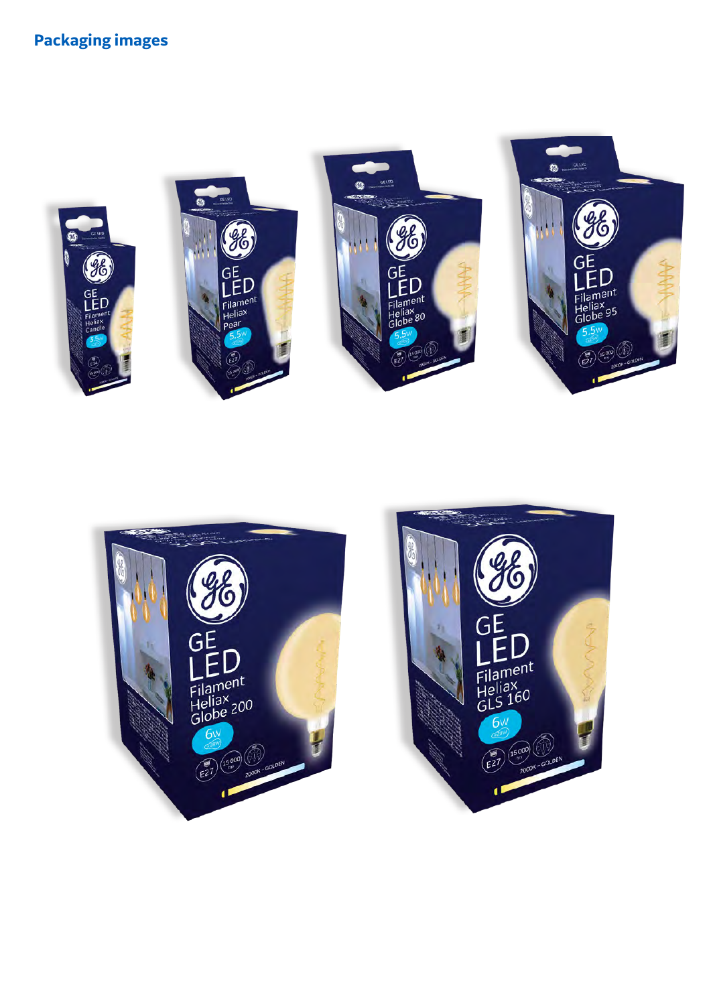